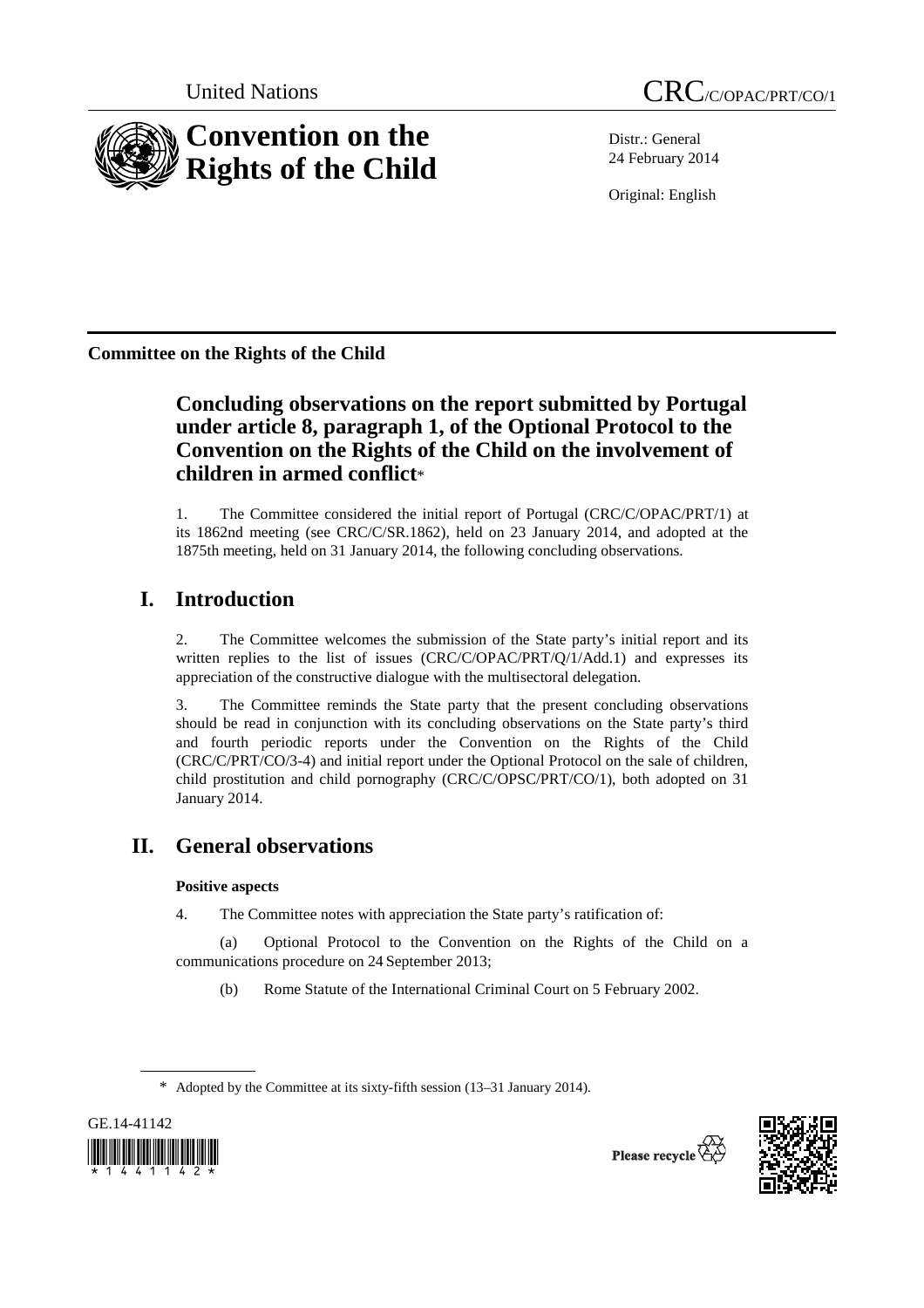

Distr.: General 24 February 2014

Original: English

**Committee on the Rights of the Child** 

# **Concluding observations on the report submitted by Portugal under article 8, paragraph 1, of the Optional Protocol to the Convention on the Rights of the Child on the involvement of children in armed conflict**\*

1. The Committee considered the initial report of Portugal (CRC/C/OPAC/PRT/1) at its 1862nd meeting (see CRC/C/SR.1862), held on 23 January 2014, and adopted at the 1875th meeting, held on 31 January 2014, the following concluding observations.

# **I. Introduction**

2. The Committee welcomes the submission of the State party's initial report and its written replies to the list of issues  $(CRC/C/OPAC/PRT/Q/1/Add.1)$  and expresses its appreciation of the constructive dialogue with the multisectoral delegation.

3. The Committee reminds the State party that the present concluding observations should be read in conjunction with its concluding observations on the State party's third and fourth periodic reports under the Convention on the Rights of the Child (CRC/C/PRT/CO/3-4) and initial report under the Optional Protocol on the sale of children, child prostitution and child pornography (CRC/C/OPSC/PRT/CO/1), both adopted on 31 January 2014.

# **II. General observations**

### **Positive aspects**

4. The Committee notes with appreciation the State party's ratification of:

(a) Optional Protocol to the Convention on the Rights of the Child on a communications procedure on 24 September 2013;

(b) Rome Statute of the International Criminal Court on 5 February 2002.

<sup>\*</sup> Adopted by the Committee at its sixty-fifth session (13–31 January 2014).



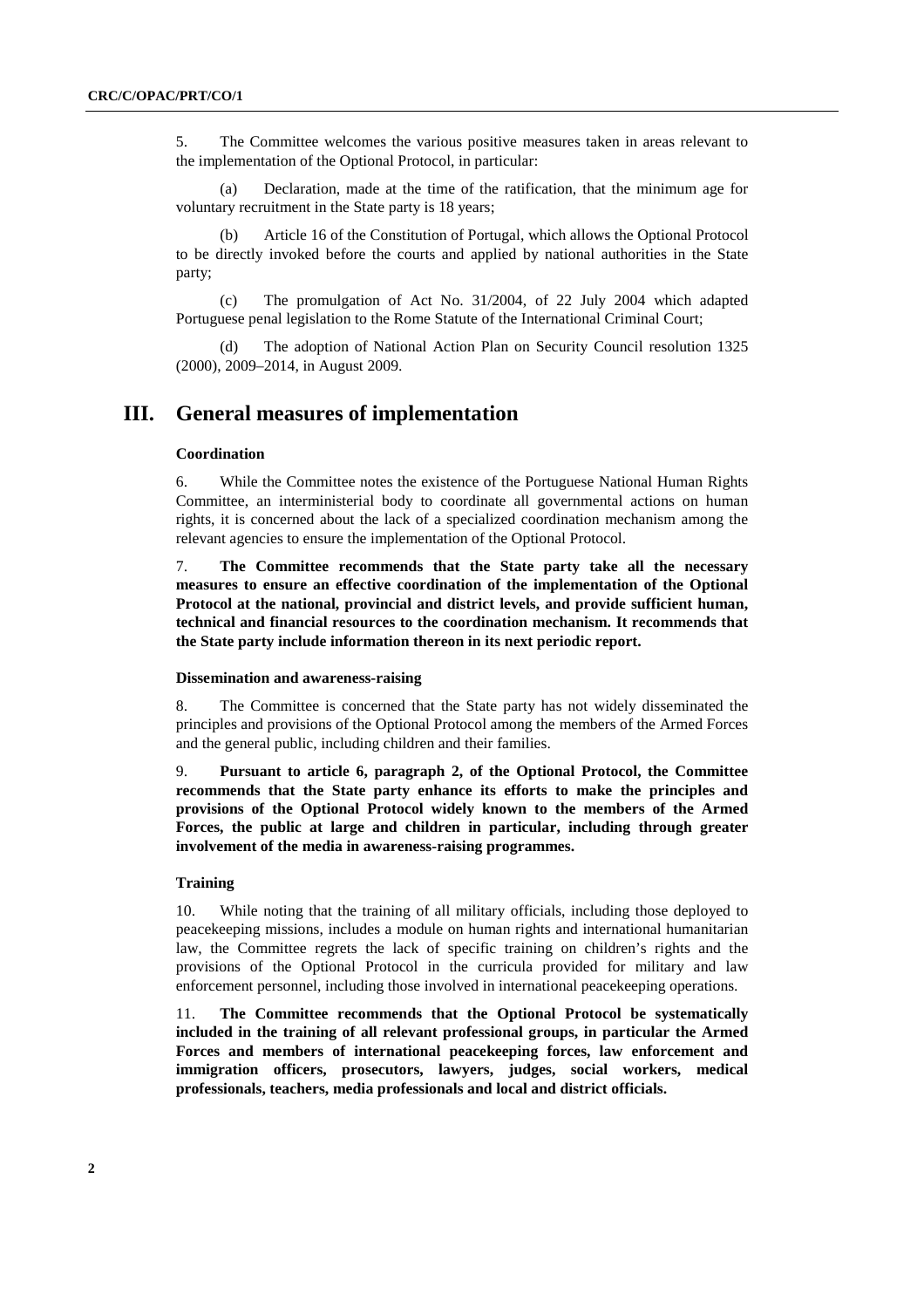5. The Committee welcomes the various positive measures taken in areas relevant to the implementation of the Optional Protocol, in particular:

(a) Declaration, made at the time of the ratification, that the minimum age for voluntary recruitment in the State party is 18 years;

(b) Article 16 of the Constitution of Portugal, which allows the Optional Protocol to be directly invoked before the courts and applied by national authorities in the State party;

(c) The promulgation of Act No. 31/2004, of 22 July 2004 which adapted Portuguese penal legislation to the Rome Statute of the International Criminal Court;

(d) The adoption of National Action Plan on Security Council resolution 1325 (2000), 2009–2014, in August 2009.

## **III. General measures of implementation**

#### **Coordination**

6. While the Committee notes the existence of the Portuguese National Human Rights Committee, an interministerial body to coordinate all governmental actions on human rights, it is concerned about the lack of a specialized coordination mechanism among the relevant agencies to ensure the implementation of the Optional Protocol.

7. **The Committee recommends that the State party take all the necessary measures to ensure an effective coordination of the implementation of the Optional Protocol at the national, provincial and district levels, and provide sufficient human, technical and financial resources to the coordination mechanism. It recommends that the State party include information thereon in its next periodic report.** 

#### **Dissemination and awareness-raising**

8. The Committee is concerned that the State party has not widely disseminated the principles and provisions of the Optional Protocol among the members of the Armed Forces and the general public, including children and their families.

9. **Pursuant to article 6, paragraph 2, of the Optional Protocol, the Committee recommends that the State party enhance its efforts to make the principles and provisions of the Optional Protocol widely known to the members of the Armed Forces, the public at large and children in particular, including through greater involvement of the media in awareness-raising programmes.** 

#### **Training**

10. While noting that the training of all military officials, including those deployed to peacekeeping missions, includes a module on human rights and international humanitarian law, the Committee regrets the lack of specific training on children's rights and the provisions of the Optional Protocol in the curricula provided for military and law enforcement personnel, including those involved in international peacekeeping operations.

11. **The Committee recommends that the Optional Protocol be systematically included in the training of all relevant professional groups, in particular the Armed Forces and members of international peacekeeping forces, law enforcement and immigration officers, prosecutors, lawyers, judges, social workers, medical professionals, teachers, media professionals and local and district officials.**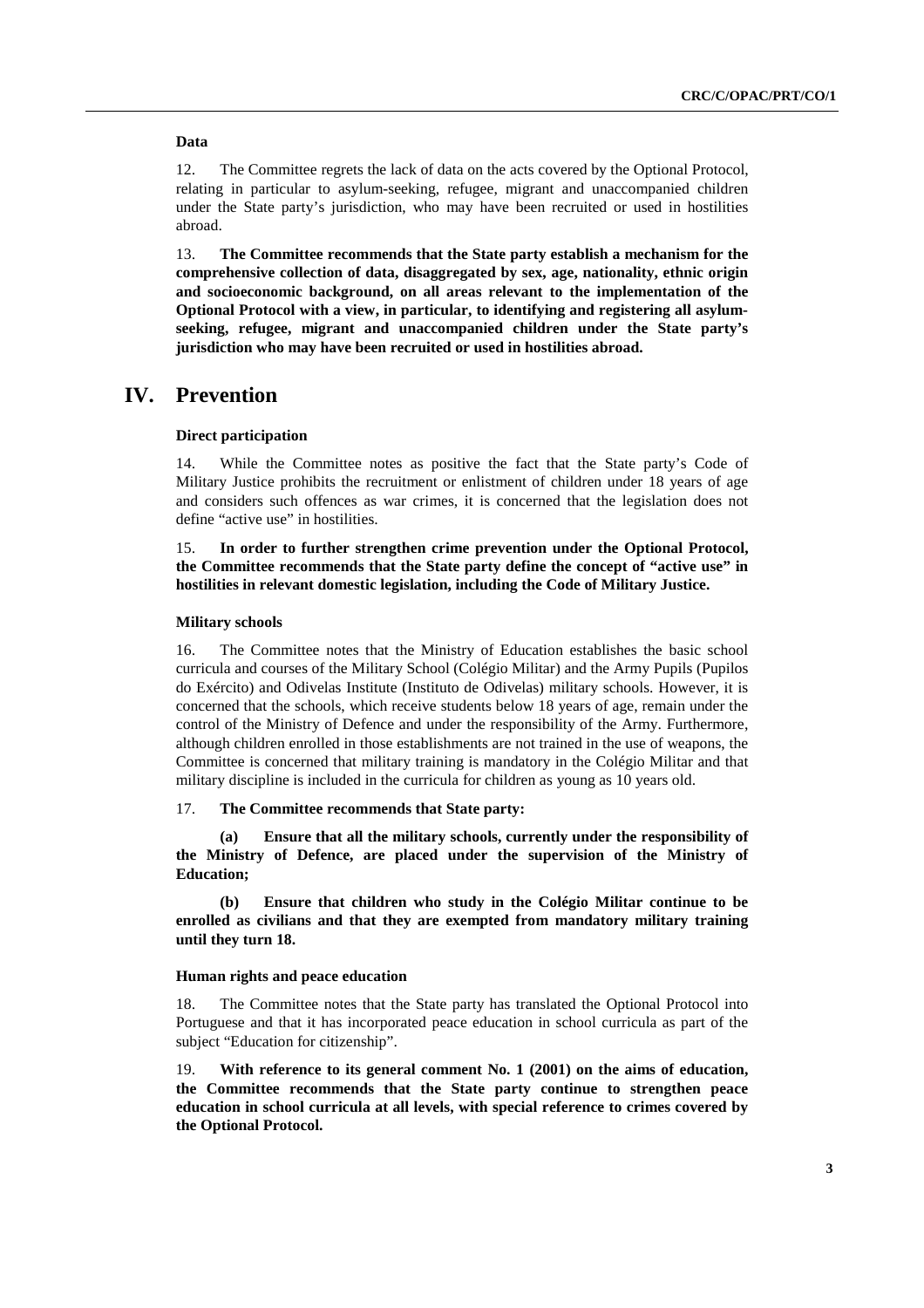#### **Data**

12. The Committee regrets the lack of data on the acts covered by the Optional Protocol, relating in particular to asylum-seeking, refugee, migrant and unaccompanied children under the State party's jurisdiction, who may have been recruited or used in hostilities abroad.

13. **The Committee recommends that the State party establish a mechanism for the comprehensive collection of data, disaggregated by sex, age, nationality, ethnic origin and socioeconomic background, on all areas relevant to the implementation of the Optional Protocol with a view, in particular, to identifying and registering all asylumseeking, refugee, migrant and unaccompanied children under the State party's jurisdiction who may have been recruited or used in hostilities abroad.** 

### **IV. Prevention**

#### **Direct participation**

14. While the Committee notes as positive the fact that the State party's Code of Military Justice prohibits the recruitment or enlistment of children under 18 years of age and considers such offences as war crimes, it is concerned that the legislation does not define "active use" in hostilities.

15. **In order to further strengthen crime prevention under the Optional Protocol, the Committee recommends that the State party define the concept of "active use" in hostilities in relevant domestic legislation, including the Code of Military Justice.** 

#### **Military schools**

16. The Committee notes that the Ministry of Education establishes the basic school curricula and courses of the Military School (Colégio Militar) and the Army Pupils (Pupilos do Exército) and Odivelas Institute (Instituto de Odivelas) military schools. However, it is concerned that the schools, which receive students below 18 years of age, remain under the control of the Ministry of Defence and under the responsibility of the Army. Furthermore, although children enrolled in those establishments are not trained in the use of weapons, the Committee is concerned that military training is mandatory in the Colégio Militar and that military discipline is included in the curricula for children as young as 10 years old.

#### 17. **The Committee recommends that State party:**

**(a) Ensure that all the military schools, currently under the responsibility of the Ministry of Defence, are placed under the supervision of the Ministry of Education;** 

**(b) Ensure that children who study in the Colégio Militar continue to be enrolled as civilians and that they are exempted from mandatory military training until they turn 18.** 

#### **Human rights and peace education**

18. The Committee notes that the State party has translated the Optional Protocol into Portuguese and that it has incorporated peace education in school curricula as part of the subject "Education for citizenship".

19. **With reference to its general comment No. 1 (2001) on the aims of education, the Committee recommends that the State party continue to strengthen peace education in school curricula at all levels, with special reference to crimes covered by the Optional Protocol.**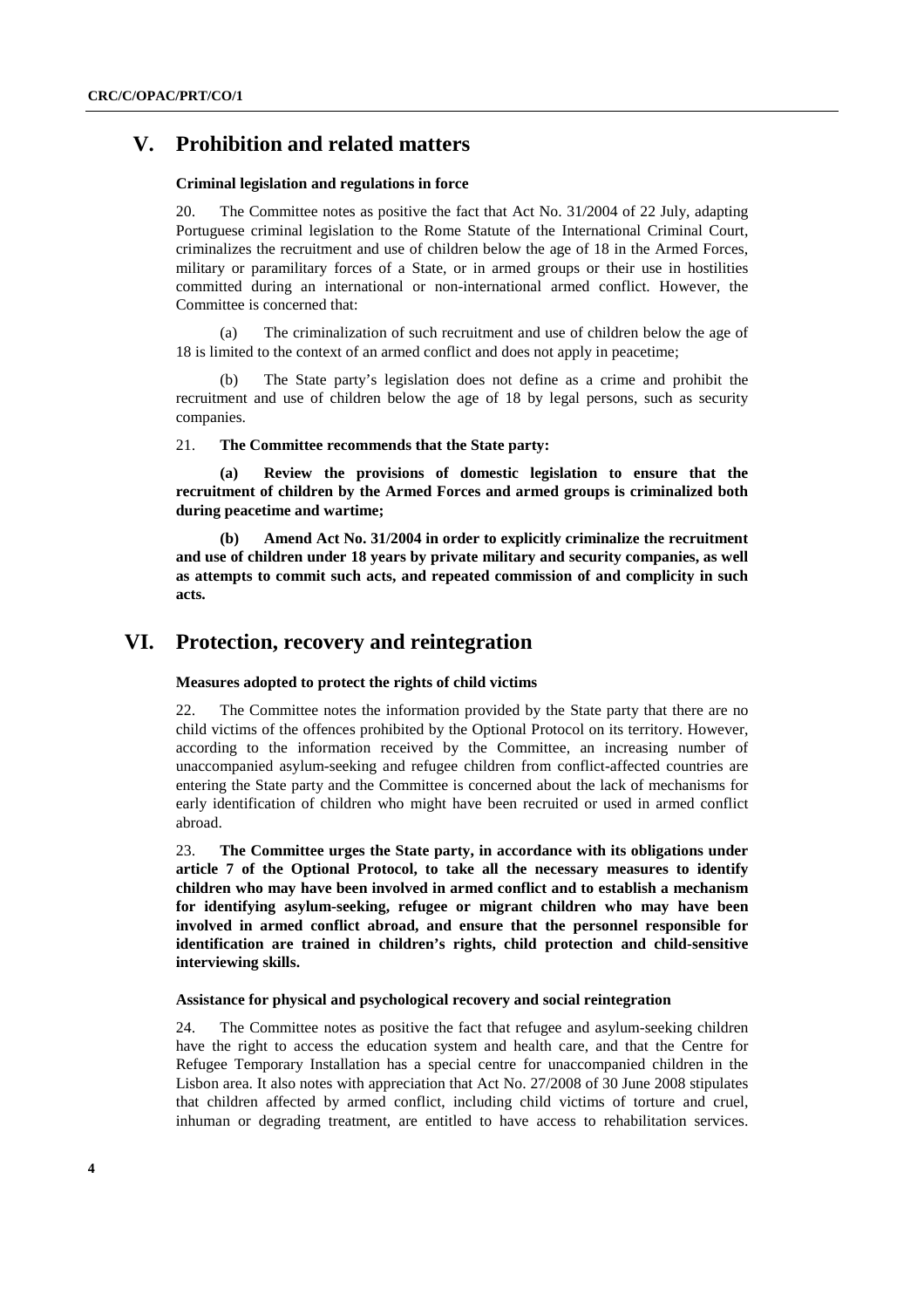## **V. Prohibition and related matters**

#### **Criminal legislation and regulations in force**

20. The Committee notes as positive the fact that Act No. 31/2004 of 22 July, adapting Portuguese criminal legislation to the Rome Statute of the International Criminal Court, criminalizes the recruitment and use of children below the age of 18 in the Armed Forces, military or paramilitary forces of a State, or in armed groups or their use in hostilities committed during an international or non-international armed conflict. However, the Committee is concerned that:

(a) The criminalization of such recruitment and use of children below the age of 18 is limited to the context of an armed conflict and does not apply in peacetime;

The State party's legislation does not define as a crime and prohibit the recruitment and use of children below the age of 18 by legal persons, such as security companies.

21. **The Committee recommends that the State party:**

**(a) Review the provisions of domestic legislation to ensure that the recruitment of children by the Armed Forces and armed groups is criminalized both during peacetime and wartime;** 

**(b) Amend Act No. 31/2004 in order to explicitly criminalize the recruitment and use of children under 18 years by private military and security companies, as well as attempts to commit such acts, and repeated commission of and complicity in such acts.** 

## **VI. Protection, recovery and reintegration**

#### **Measures adopted to protect the rights of child victims**

22. The Committee notes the information provided by the State party that there are no child victims of the offences prohibited by the Optional Protocol on its territory. However, according to the information received by the Committee, an increasing number of unaccompanied asylum-seeking and refugee children from conflict-affected countries are entering the State party and the Committee is concerned about the lack of mechanisms for early identification of children who might have been recruited or used in armed conflict abroad.

23. **The Committee urges the State party, in accordance with its obligations under article 7 of the Optional Protocol, to take all the necessary measures to identify children who may have been involved in armed conflict and to establish a mechanism for identifying asylum-seeking, refugee or migrant children who may have been involved in armed conflict abroad, and ensure that the personnel responsible for identification are trained in children's rights, child protection and child-sensitive interviewing skills.** 

#### **Assistance for physical and psychological recovery and social reintegration**

24. The Committee notes as positive the fact that refugee and asylum-seeking children have the right to access the education system and health care, and that the Centre for Refugee Temporary Installation has a special centre for unaccompanied children in the Lisbon area. It also notes with appreciation that Act No. 27/2008 of 30 June 2008 stipulates that children affected by armed conflict, including child victims of torture and cruel, inhuman or degrading treatment, are entitled to have access to rehabilitation services.